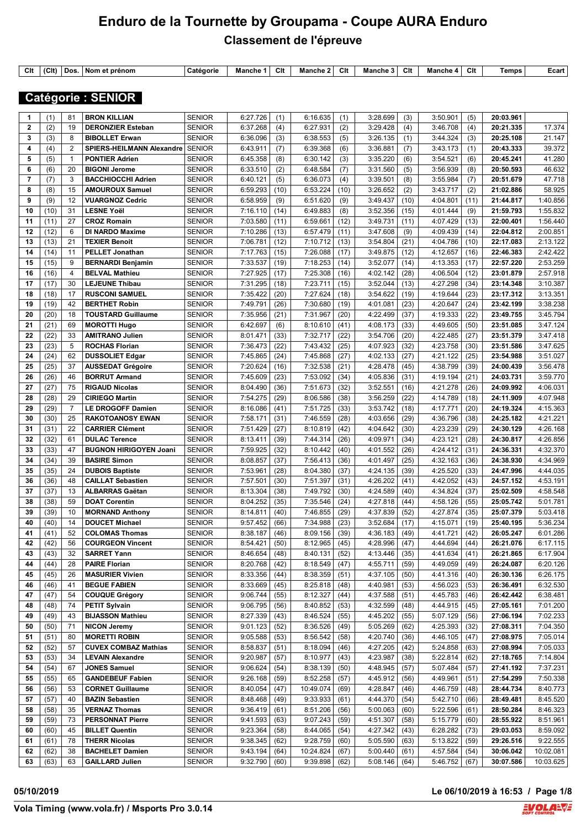| $\sim$<br>◡แ | $\sim$<br>1 W 11 | Dos | prénon<br>NOM AT | Catégorie | Manche | mы.<br>u | .<br><b>лапспе</b> | Clt | Manche | Clt | Manche<br>$\mathbf{v}$ | Clt | emps | בcart∟ |
|--------------|------------------|-----|------------------|-----------|--------|----------|--------------------|-----|--------|-----|------------------------|-----|------|--------|

 **Catégorie : SENIOR** 

| 1              | (1)  | 81             | <b>BRON KILLIAN</b>           | <b>SENIOR</b> | 6:27.726        | (1)  | 6:16.635  | (1)  | 3:28.699        | (3)  | 3:50.901        | (5)  | 20:03.961 |           |
|----------------|------|----------------|-------------------------------|---------------|-----------------|------|-----------|------|-----------------|------|-----------------|------|-----------|-----------|
| $\overline{2}$ | (2)  | 19             | <b>DERONZIER Esteban</b>      | <b>SENIOR</b> | 6:37.268        | (4)  | 6:27.931  | (2)  | 3:29.428        | (4)  | 3:46.708        | (4)  | 20:21.335 | 17.374    |
| 3              | (3)  | 8              | <b>BIBOLLET Erwan</b>         | <b>SENIOR</b> | 6:36.096        | (3)  | 6:38.553  | (5)  | 3:26.135        | (1)  | 3:44.324        | (3)  | 20:25.108 | 21.147    |
| 4              | (4)  | 2              | SPIERS-HEILMANN Alexandre     | <b>SENIOR</b> | 6:43.911        | (7)  | 6:39.368  | (6)  | 3:36.881        | (7)  | 3:43.173        | (1)  | 20:43.333 | 39.372    |
| 5              | (5)  | $\mathbf{1}$   | <b>PONTIER Adrien</b>         | <b>SENIOR</b> | 6:45.358        | (8)  | 6:30.142  | (3)  | 3:35.220        | (6)  | 3:54.521        | (6)  | 20:45.241 | 41.280    |
| 6              | (6)  | 20             | <b>BIGONI Jerome</b>          | <b>SENIOR</b> | 6:33.510        | (2)  | 6:48.584  | (7)  | 3:31.560        | (5)  | 3:56.939        | (8)  | 20:50.593 | 46.632    |
| $\overline{7}$ | (7)  | 3              | <b>BACCHIOCCHI Adrien</b>     | <b>SENIOR</b> | 6:40.121        | (5)  | 6:36.073  | (4)  | 3:39.501        | (8)  | 3:55.984        | (7)  | 20:51.679 | 47.718    |
| 8              | (8)  | 15             | <b>AMOUROUX Samuel</b>        | <b>SENIOR</b> | 6:59.293        | (10) | 6:53.224  | (10) | 3:26.652        | (2)  | 3:43.717        | (2)  | 21:02.886 | 58.925    |
| 9              | (9)  | 12             | <b>VUARGNOZ Cedric</b>        | <b>SENIOR</b> | 6:58.959        | (9)  | 6:51.620  | (9)  | 3:49.437        | (10) | 4:04.801        | (11) | 21:44.817 | 1:40.856  |
| 10             | (10) | 31             | <b>LESNE Yoël</b>             | <b>SENIOR</b> | 7:16.110        | (14) | 6:49.883  | (8)  | 3:52.356        | (15) | 4:01.444        | (9)  | 21:59.793 | 1:55.832  |
| 11             | (11) | 27             | <b>CROZ Romain</b>            | <b>SENIOR</b> | 7:03.580        | (11) | 6:59.661  | (12) | 3:49.731        | (11) | 4:07.429        | (13) | 22:00.401 | 1:56.440  |
| 12             | (12) | 6              | <b>DI NARDO Maxime</b>        | <b>SENIOR</b> | 7:10.286        | (13) | 6:57.479  | (11) | 3:47.608        | (9)  | 4:09.439        | (14) | 22:04.812 | 2:00.851  |
| 13             | (13) | 21             | <b>TEXIER Benoit</b>          | <b>SENIOR</b> | 7:06.781        | (12) | 7:10.712  | (13) | 3:54.804        | (21) | 4:04.786        | (10) | 22:17.083 | 2:13.122  |
| 14             | (14) | 11             | <b>PELLET Jonathan</b>        | <b>SENIOR</b> | 7:17.763        | (15) | 7:26.088  | (17) | 3:49.875        | (12) | 4:12.657        | (16) | 22:46.383 | 2:42.422  |
| 15             | (15) | 9              | <b>BERNARDI Benjamin</b>      | <b>SENIOR</b> | 7:33.537        | (19) | 7:18.253  | (14) | 3:52.077        | (14) | 4:13.353        | (17) | 22:57.220 | 2:53.259  |
| 16             | (16) | $\overline{4}$ | <b>BELVAL Mathieu</b>         | <b>SENIOR</b> | 7:27.925        | (17) | 7:25.308  | (16) | 4:02.142        | (28) | 4:06.504        | (12) | 23:01.879 | 2:57.918  |
| 17             | (17) | 30             | <b>LEJEUNE Thibau</b>         | <b>SENIOR</b> | 7:31.295        | (18) | 7:23.711  | (15) | 3:52.044        | (13) | 4:27.298        | (34) | 23:14.348 | 3:10.387  |
| 18             | (18) | 17             | <b>RUSCONI SAMUEL</b>         | <b>SENIOR</b> | 7:35.422        | (20) | 7:27.624  | (18) | 3:54.622        | (19) | 4:19.644        | (23) | 23:17.312 | 3:13.351  |
| 19             | (19) | 42             | <b>BERTHET Robin</b>          | <b>SENIOR</b> | 7:49.791        | (26) | 7:30.680  | (19) | 4:01.081        | (23) | 4:20.647        | (24) | 23:42.199 | 3:38.238  |
| 20             | (20) | 18             | <b>TOUSTARD Guillaume</b>     | <b>SENIOR</b> | 7:35.956        | (21) | 7:31.967  | (20) | 4:22.499        | (37) | 4:19.333        | (22) | 23:49.755 | 3:45.794  |
| 21             | (21) | 69             | <b>MOROTTI Hugo</b>           | <b>SENIOR</b> | 6:42.697        | (6)  | 8:10.610  | (41) | 4:08.173        | (33) | 4:49.605        | (50) | 23:51.085 | 3:47.124  |
| 22             | (22) | 33             | <b>AMITRANO Julien</b>        | <b>SENIOR</b> | 8:01.471        | (33) | 7:32.717  | (22) | 3:54.706        | (20) | 4:22.485        | (27) | 23:51.379 | 3:47.418  |
| 23             | (23) | 5              | <b>ROCHAS Florian</b>         | <b>SENIOR</b> | 7:36.473        | (22) | 7:43.432  | (25) | 4:07.923        | (32) | 4:23.758        | (30) | 23:51.586 | 3:47.625  |
| 24             | (24) | 62             | <b>DUSSOLIET Edgar</b>        | <b>SENIOR</b> | 7:45.865        | (24) | 7:45.868  | (27) | 4:02.133        | (27) | 4:21.122        | (25) | 23:54.988 | 3:51.027  |
| 25             | (25) | 37             | <b>AUSSEDAT Grégoire</b>      | <b>SENIOR</b> | 7:20.624        | (16) | 7:32.538  | (21) | 4:28.478        | (45) | 4:38.799        | (39) | 24:00.439 | 3:56.478  |
| 26             | (26) | 46             | <b>BORRUT Armand</b>          | <b>SENIOR</b> | 7:45.609        | (23) | 7:53.092  | (34) | 4:05.836        | (31) | 4:19.194        | (21) | 24:03.731 | 3:59.770  |
| 27             | (27) | 75             | <b>RIGAUD Nicolas</b>         | <b>SENIOR</b> | 8:04.490        | (36) | 7:51.673  | (32) | 3:52.551        | (16) | 4:21.278        | (26) | 24:09.992 | 4:06.031  |
| 28             | (28) | 29             | <b>CIRIEGO Martin</b>         | <b>SENIOR</b> | 7:54.275        | (29) | 8:06.586  | (38) | 3:56.259        | (22) | 4:14.789        | (18) | 24:11.909 | 4:07.948  |
| 29             | (29) | $\overline{7}$ | <b>LE DROGOFF Damien</b>      | <b>SENIOR</b> | 8:16.086        | (41) | 7:51.725  | (33) | 3:53.742        | (18) | 4:17.771        | (20) | 24:19.324 | 4:15.363  |
| 30             | (30) | 25             | <b>RAKOTOANOSY EWAN</b>       | <b>SENIOR</b> | 7:58.171        | (31) | 7:46.559  | (28) | 4:03.656        | (29) | 4:36.796        | (38) | 24:25.182 | 4:21.221  |
| 31             | (31) | 22             | <b>CARRIER Clément</b>        | <b>SENIOR</b> | 7:51.429        | (27) | 8:10.819  | (42) | 4:04.642        | (30) | 4:23.239        | (29) | 24:30.129 | 4:26.168  |
| 32             | (32) | 61             | <b>DULAC Terence</b>          | <b>SENIOR</b> | 8:13.411        | (39) | 7:44.314  | (26) | 4:09.971        | (34) | 4:23.121        | (28) | 24:30.817 | 4:26.856  |
| 33             | (33) | 47             | <b>BUGNON HIRIGOYEN Joani</b> | <b>SENIOR</b> | 7:59.925        | (32) | 8:10.442  | (40) | 4:01.552        | (26) | 4:24.412        | (31) | 24:36.331 | 4:32.370  |
| 34             | (34) | 39             | <b>BASIRE Simon</b>           | <b>SENIOR</b> | 8:08.857        | (37) | 7:56.413  | (36) | 4:01.497        | (25) | 4:32.163        | (36) | 24:38.930 | 4:34.969  |
| 35             | (35) | 24             | <b>DUBOIS Baptiste</b>        | <b>SENIOR</b> | 7:53.961        | (28) | 8:04.380  | (37) | 4:24.135        | (39) | 4:25.520        | (33) | 24:47.996 | 4:44.035  |
| 36             | (36) | 48             | <b>CAILLAT Sebastien</b>      | <b>SENIOR</b> | 7:57.501        | (30) | 7:51.397  | (31) | 4:26.202        | (41) | 4:42.052        | (43) | 24:57.152 | 4:53.191  |
| 37             | (37) | 13             | <b>ALBARRAS Gaëtan</b>        | <b>SENIOR</b> | 8:13.304        | (38) | 7:49.792  | (30) | 4:24.589        | (40) | 4:34.824        | (37) | 25:02.509 | 4:58.548  |
| 38             | (38) | 59             | <b>DOAT Corentin</b>          | <b>SENIOR</b> | 8:04.252        | (35) | 7:35.546  | (24) | 4:27.818        | (44) | 4:58.126        | (55) | 25:05.742 | 5:01.781  |
| 39             | (39) | 10             | <b>MORNAND Anthony</b>        | <b>SENIOR</b> | 8:14.811        | (40) | 7:46.855  | (29) | 4:37.839        | (52) | 4:27.874        | (35) | 25:07.379 | 5:03.418  |
| 40             | (40) | 14             | <b>DOUCET Michael</b>         | <b>SENIOR</b> | 9:57.452        | (66) | 7:34.988  | (23) | 3:52.684        | (17) | 4:15.071        | (19) | 25:40.195 | 5:36.234  |
| 41             | (41) | 52             | <b>COLOMAS Thomas</b>         | <b>SENIOR</b> | 8:38.187        | (46) | 8:09.156  | (39) | 4:36.183        | (49) | 4:41.721        | (42) | 26:05.247 | 6:01.286  |
| 42             | (42) | 56             | <b>COURGEON Vincent</b>       | <b>SENIOR</b> | 8:54.421        | (50) | 8:12.965  | (45) | 4:28.996        | (47) | 4:44.694        | (44) | 26:21.076 | 6:17.115  |
| 43             | (43) | 32             | <b>SARRET Yann</b>            | SENIOR        | $8:46.654$ (48) |      | 8:40.131  | (52) | $4:13.446$ (35) |      | $4:41.634$ (41) |      | 26:21.865 | 6:17.904  |
| 44             | (44) | 28             | <b>PAIRE Florian</b>          | <b>SENIOR</b> | 8:20.768        | (42) | 8:18.549  | (47) | 4:55.711        | (59) | 4:49.059        | (49) | 26:24.087 | 6:20.126  |
| 45             | (45) | 26             | <b>MASURIER Vivien</b>        | <b>SENIOR</b> | 8:33.356        | (44) | 8:38.359  | (51) | 4:37.105        | (50) | 4:41.316        | (40) | 26:30.136 | 6:26.175  |
| 46             | (46) | 41             | <b>BEGUE FABIEN</b>           | <b>SENIOR</b> | 8:33.669        | (45) | 8:25.818  | (48) | 4:40.981        | (53) | 4:56.023        | (53) | 26:36.491 | 6:32.530  |
| 47             | (47) | 54             | <b>COUQUE Grégory</b>         | <b>SENIOR</b> | 9:06.744        | (55) | 8:12.327  | (44) | 4:37.588        | (51) | 4:45.783        | (46) | 26:42.442 | 6:38.481  |
| 48             | (48) | 74             | <b>PETIT Sylvain</b>          | <b>SENIOR</b> | 9:06.795        | (56) | 8:40.852  | (53) | 4:32.599        | (48) | 4:44.915        | (45) | 27:05.161 | 7:01.200  |
| 49             | (49) | 43             | <b>BIJASSON Mathieu</b>       | <b>SENIOR</b> | 8:27.339        | (43) | 8:46.524  | (55) | 4:45.202        | (55) | 5:07.129        | (56) | 27:06.194 | 7:02.233  |
| 50             | (50) | 71             | <b>NICON Jeremy</b>           | <b>SENIOR</b> | 9:01.123        | (52) | 8:36.526  | (49) | 5:05.269        | (62) | 4:25.393        | (32) | 27:08.311 | 7:04.350  |
| 51             | (51) | 80             | <b>MORETTI ROBIN</b>          | <b>SENIOR</b> | 9:05.588        | (53) | 8:56.542  | (58) | 4:20.740        | (36) | 4:46.105        | (47) | 27:08.975 | 7:05.014  |
| 52             | (52) | 57             | <b>CUVEX COMBAZ Mathias</b>   | <b>SENIOR</b> | 8:58.837        | (51) | 8:18.094  | (46) | 4:27.205        | (42) | 5:24.858        | (63) | 27:08.994 | 7:05.033  |
| 53             | (53) | 34             | <b>LEVAIN Alexandre</b>       | <b>SENIOR</b> | 9:20.987        | (57) | 8:10.977  | (43) | 4:23.987        | (38) | 5:22.814        | (62) | 27:18.765 | 7:14.804  |
| 54             | (54) | 67             | <b>JONES Samuel</b>           | <b>SENIOR</b> | 9:06.624        | (54) | 8:38.139  | (50) | 4:48.945        | (57) | 5:07.484        | (57) | 27:41.192 | 7:37.231  |
| 55             | (55) | 65             | <b>GANDEBEUF Fabien</b>       | <b>SENIOR</b> | 9:26.168        | (59) | 8:52.258  | (57) | 4:45.912        | (56) | 4:49.961        | (51) | 27:54.299 | 7:50.338  |
| 56             | (56) | 53             | <b>CORNET Guillaume</b>       | <b>SENIOR</b> | 8:40.054        | (47) | 10:49.074 | (69) | 4:28.847        | (46) | 4:46.759        | (48) | 28:44.734 | 8:40.773  |
| 57             | (57) | 40             | <b>BAZIN Sebastien</b>        | <b>SENIOR</b> | 8:48.468        | (49) | 9:33.933  | (61) | 4:44.370        | (54) | 5:42.710        | (66) | 28:49.481 | 8:45.520  |
| 58             | (58) | 35             | <b>VERNAZ Thomas</b>          | <b>SENIOR</b> | 9:36.419        | (61) | 8:51.206  | (56) | 5:00.063        | (60) | 5:22.596        | (61) | 28:50.284 | 8:46.323  |
| 59             | (59) | 73             | <b>PERSONNAT Pierre</b>       | <b>SENIOR</b> | 9:41.593        | (63) | 9:07.243  | (59) | 4:51.307        | (58) | 5:15.779        | (60) | 28:55.922 | 8:51.961  |
| 60             | (60) | 45             | <b>BILLET Quentin</b>         | <b>SENIOR</b> | 9:23.364        | (58) | 8:44.065  | (54) | 4:27.342        | (43) | 6:28.282        | (73) | 29:03.053 | 8:59.092  |
| 61             | (61) | 78             | <b>THERR Nicolas</b>          | <b>SENIOR</b> | 9:38.345        | (62) | 9:28.759  | (60) | 5:05.590        | (63) | 5:13.822        | (59) | 29:26.516 | 9:22.555  |
| 62             | (62) | 38             | <b>BACHELET Damien</b>        | <b>SENIOR</b> | 9:43.194        | (64) | 10:24.824 | (67) | 5:00.440        | (61) | 4:57.584        | (54) | 30:06.042 | 10:02.081 |
| 63             | (63) | 63             | <b>GAILLARD Julien</b>        | <b>SENIOR</b> | 9:32.790        | (60) | 9:39.898  | (62) | 5:08.146        | (64) | 5:46.752        | (67) | 30:07.586 | 10:03.625 |

**05/10/2019 Le 06/10/2019 à 16:53 / Page 1/8**

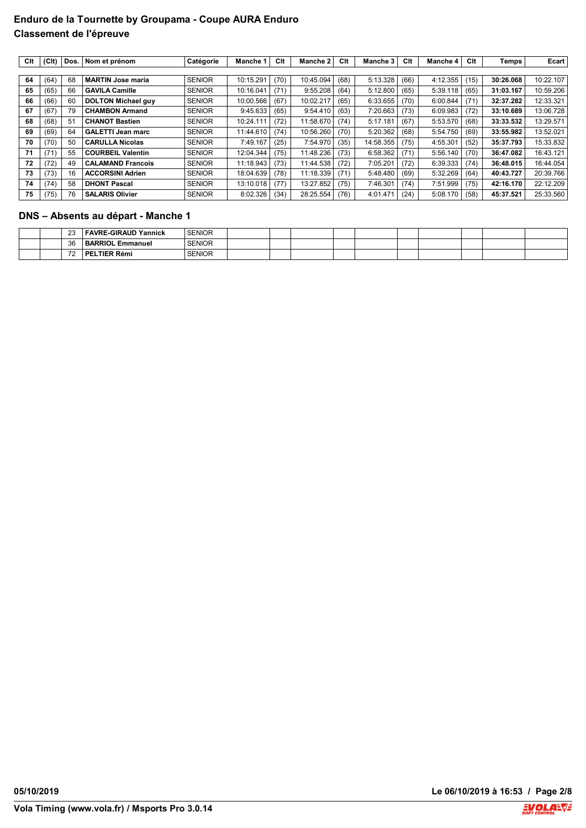| Clt | (C <sub>It</sub> ) | Dos. | Nom et prénom             | Catégorie     | Manche 1  | Clt  | <b>Manche 2</b> | Clt  | Manche 3 l | Clt  | <b>Manche 4</b> | Clt  | Temps     | Ecart     |
|-----|--------------------|------|---------------------------|---------------|-----------|------|-----------------|------|------------|------|-----------------|------|-----------|-----------|
|     |                    |      |                           |               |           |      |                 |      |            |      |                 |      |           |           |
| 64  | (64)               | 68   | <b>MARTIN Jose maria</b>  | <b>SENIOR</b> | 10:15.291 | (70) | 10:45.094       | (68) | 5:13.328   | (66) | 4:12.355        | (15) | 30:26.068 | 10:22.107 |
| 65  | (65)               | 66   | <b>GAVILA Camille</b>     | <b>SENIOR</b> | 10:16.041 | (71) | 9:55.208        | (64) | 5:12.800   | (65) | 5:39.118        | (65) | 31:03.167 | 10:59.206 |
| 66  | (66)               | 60   | <b>DOLTON Michael guy</b> | <b>SENIOR</b> | 10:00.566 | (67) | 10:02.217       | (65) | 6:33.655   | (70) | 6:00.844        | (71) | 32:37.282 | 12:33.321 |
| 67  | (67)               | 79   | <b>CHAMBON Armand</b>     | <b>SENIOR</b> | 9:45.633  | (65) | 9:54.410        | (63) | 7:20.663   | (73) | 6:09.983        | (72) | 33:10.689 | 13:06.728 |
| 68  | (68)               | 51   | <b>CHANOT Bastien</b>     | <b>SENIOR</b> | 10:24.111 | (72) | 11:58.670       | (74) | 5:17.181   | (67) | 5:53.570        | (68) | 33:33.532 | 13:29.571 |
| 69  | (69)               | 64   | <b>GALETTI Jean marc</b>  | <b>SENIOR</b> | 11:44.610 | (74) | 10:56.260       | (70) | 5:20.362   | (68) | 5:54.750        | (69) | 33:55.982 | 13:52.021 |
| 70  | (70)               | 50   | <b>CARULLA Nicolas</b>    | <b>SENIOR</b> | 7:49.167  | (25) | 7:54.970        | (35) | 14:58.355  | (75) | 4:55.301        | (52) | 35:37.793 | 15:33.832 |
| 71  | (71)               | 55   | <b>COURBEIL Valentin</b>  | <b>SENIOR</b> | 12:04.344 | (75) | 11:48.236       | (73) | 6:58.362   | (71) | 5:56.140        | (70) | 36:47.082 | 16:43.121 |
| 72  | (72)               | 49   | <b>CALAMAND Francois</b>  | <b>SENIOR</b> | 11:18.943 | (73) | 11:44.538       | (72) | 7:05.201   | (72) | 6:39.333        | (74) | 36:48.015 | 16:44.054 |
| 73  | (73)               | 16   | <b>ACCORSINI Adrien</b>   | <b>SENIOR</b> | 18:04.639 | (78) | 11:18.339       | (71) | 5:48.480   | (69) | 5:32.269        | (64) | 40:43.727 | 20:39.766 |
| 74  | (74)               | 58   | <b>DHONT Pascal</b>       | <b>SENIOR</b> | 13:10.018 | (77) | 13:27.852       | (75) | 7:46.301   | (74) | 7:51.999        | (75) | 42:16.170 | 22:12.209 |
| 75  | (75)               | 76   | <b>SALARIS Olivier</b>    | <b>SENIOR</b> | 8:02.326  | (34) | 28:25.554       | (76) | 4:01.471   | (24) | 5:08.170        | (58) | 45:37.521 | 25:33.560 |

## **DNS – Absents au départ - Manche 1**

|  | $\sim$<br>້                     | FAVRE-GIRAUD Yannick          | <b>SENIOR</b> |  |  |  |  |  |
|--|---------------------------------|-------------------------------|---------------|--|--|--|--|--|
|  | 36                              | <b>BARRIOL Er</b><br>Emmanuel | <b>SENIOR</b> |  |  |  |  |  |
|  | $\overline{\phantom{a}}$<br>. . | <b>TIER Rémi</b><br>РF        | <b>SENIOR</b> |  |  |  |  |  |

**Vola Timing (www.vola.fr) / Msports Pro 3.0.14**

**05/10/2019 Le 06/10/2019 à 16:53 / Page 2/8**

**EVOLANT** 

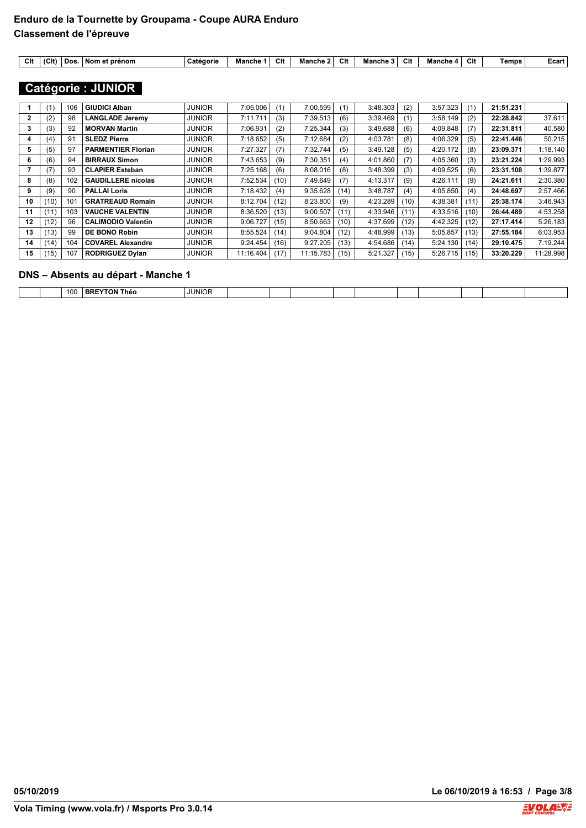| $\sim$<br>ັບແ | 101<br>ווטו | Dos | Nom<br>: prénom | Catégorie | :ne<br>mano | Clt | Manche | Clt | Manche | $\sim$<br>GП | Mancne<br>$\overline{ }$ | <u>т.</u><br>uu | <b>Temps</b> | ∟cart |
|---------------|-------------|-----|-----------------|-----------|-------------|-----|--------|-----|--------|--------------|--------------------------|-----------------|--------------|-------|
|               |             |     |                 |           |             |     |        |     |        |              |                          |                 |              |       |

# **Catégorie : JUNIOR**

|    | (1)  | 106 | <b>GIUDICI Alban</b>      | <b>JUNIOR</b> | 7:05.006  | (1)  | 7:00.599  | (1)  | 3:48.303 | (2)  | 3:57.323 |      | 21:51.231 |           |
|----|------|-----|---------------------------|---------------|-----------|------|-----------|------|----------|------|----------|------|-----------|-----------|
| 2  | (2)  | 98  | <b>LANGLADE Jeremv</b>    | <b>JUNIOR</b> | 7:11.711  | (3)  | 7:39.513  | (6)  | 3:39.469 | (1)  | 3:58.149 | (2)  | 22:28.842 | 37.611    |
| 3  | (3)  | 92  | <b>MORVAN Martin</b>      | <b>JUNIOR</b> | 7:06.931  | (2)  | 7:25.344  | (3)  | 3:49.688 | (6)  | 4:09.848 | (7)  | 22:31.811 | 40.580    |
| 4  | (4)  | 91  | <b>SLEDZ Pierre</b>       | <b>JUNIOR</b> | 7:18.652  | (5)  | 7:12.684  | (2)  | 4:03.781 | (8)  | 4:06.329 | (5)  | 22:41.446 | 50.215    |
| 5  | (5)  | 97  | <b>PARMENTIER Florian</b> | <b>JUNIOR</b> | 7:27.327  | (7)  | 7:32.744  | (5)  | 3:49.128 | (5)  | 4:20.172 | (8)  | 23:09.371 | 1:18.140  |
| 6  | (6)  | 94  | <b>BIRRAUX Simon</b>      | <b>JUNIOR</b> | 7:43.653  | (9)  | 7:30.351  | (4)  | 4:01.860 | (7)  | 4:05.360 | (3)  | 23:21.224 | 1:29.993  |
|    | (7)  | 93  | <b>CLAPIER Esteban</b>    | <b>JUNIOR</b> | 7:25.168  | (6)  | 8:08.016  | (8)  | 3:48.399 | (3)  | 4:09.525 | (6)  | 23:31.108 | 1:39.877  |
| 8  | (8)  | 102 | <b>GAUDILLERE</b> nicolas | <b>JUNIOR</b> | 7:52.534  | (10) | 7:49.649  | (7)  | 4:13.317 | (9)  | 4:26.111 | (9)  | 24:21.611 | 2:30.380  |
| 9  | (9)  | 90  | <b>PALLAI Loris</b>       | <b>JUNIOR</b> | 7:18.432  | (4)  | 9:35.628  | (14) | 3:48.787 | (4)  | 4:05.850 | (4)  | 24:48.697 | 2:57.466  |
| 10 | (10) | 101 | <b>GRATREAUD Romain</b>   | <b>JUNIOR</b> | 8:12.704  | (12) | 8:23.800  | (9)  | 4:23.289 | (10) | 4:38.381 | (11) | 25:38.174 | 3:46.943  |
| 11 | (11) | 103 | <b>VAUCHE VALENTIN</b>    | <b>JUNIOR</b> | 8:36.520  | (13) | 9:00.507  | (11) | 4:33.946 | (11) | 4:33.516 | (10) | 26:44.489 | 4:53.258  |
| 12 | (12) | 96  | <b>CALIMODIO Valentin</b> | <b>JUNIOR</b> | 9:06.727  | (15) | 8:50.663  | (10) | 4:37.699 | (12) | 4:42.325 | (12) | 27:17.414 | 5:26.183  |
| 13 | (13) | 99  | <b>DE BONO Robin</b>      | <b>JUNIOR</b> | 8:55.524  | (14) | 9:04.804  | (12) | 4:48.999 | (13) | 5:05.857 | (13) | 27:55.184 | 6:03.953  |
| 14 | (14) | 104 | <b>COVAREL Alexandre</b>  | <b>JUNIOR</b> | 9:24.454  | (16) | 9:27.205  | (13) | 4:54.686 | (14) | 5:24.130 | (14) | 29:10.475 | 7:19.244  |
| 15 | (15) | 107 | <b>RODRIGUEZ Dylan</b>    | <b>JUNIOR</b> | 11:16.404 | (17) | 11:15.783 | (15) | 5:21.327 | (15) | 5:26.715 | (15) | 33:20.229 | 11:28.998 |

#### **DNS – Absents au départ - Manche 1**

| <b>JUNIOR</b><br>100<br><b>BRE</b><br>Théo<br>חטו |
|---------------------------------------------------|
|---------------------------------------------------|

**05/10/2019 Le 06/10/2019 à 16:53 / Page 3/8**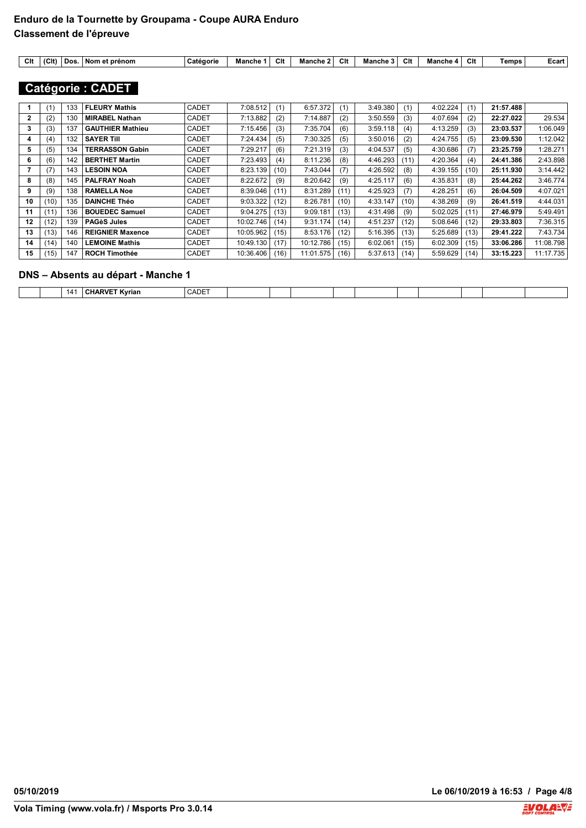| Clt | (C <sub>II</sub> ) | ' Dos. | prénom<br>Nom<br>. et | Catégorie | Mancho | г.<br>ັບແ | Ma<br>ınche | Clt | Manche | Clt | Manche | А.<br>un | emps | ∟cart |
|-----|--------------------|--------|-----------------------|-----------|--------|-----------|-------------|-----|--------|-----|--------|----------|------|-------|
|-----|--------------------|--------|-----------------------|-----------|--------|-----------|-------------|-----|--------|-----|--------|----------|------|-------|

## **Catégorie : CADET**

|    | (1)  | 133 | <b>FLEURY Mathis</b>    | <b>CADET</b> | 7:08.512  | (1)  | 6:57.372  | (1)  | 3:49.380 | (1)  | 4:02.224 | (1)  | 21:57.488 |           |
|----|------|-----|-------------------------|--------------|-----------|------|-----------|------|----------|------|----------|------|-----------|-----------|
| 2  | (2)  | 130 | <b>MIRABEL Nathan</b>   | <b>CADET</b> | 7:13.882  | (2)  | 7:14.887  | (2)  | 3:50.559 | (3)  | 4:07.694 | (2)  | 22:27.022 | 29.534    |
| 3  | (3)  | 137 | <b>GAUTHIER Mathieu</b> | <b>CADET</b> | 7:15.456  | (3)  | 7:35.704  | (6)  | 3:59.118 | (4)  | 4:13.259 | (3)  | 23:03.537 | 1:06.049  |
| 4  | (4)  | 132 | <b>SAYER TIII</b>       | <b>CADET</b> | 7:24.434  | (5)  | 7:30.325  | (5)  | 3:50.016 | (2)  | 4:24.755 | (5)  | 23:09.530 | 1:12.042  |
| 5  | (5)  | 134 | <b>TERRASSON Gabin</b>  | <b>CADET</b> | 7:29.217  | (6)  | 7:21.319  | (3)  | 4:04.537 | (5)  | 4:30.686 |      | 23:25.759 | 1:28.271  |
| 6  | (6)  | 142 | <b>BERTHET Martin</b>   | <b>CADET</b> | 7:23.493  | (4)  | 8:11.236  | (8)  | 4:46.293 | (11) | 4:20.364 | (4)  | 24:41.386 | 2:43.898  |
|    | (7)  | 143 | <b>LESOIN NOA</b>       | <b>CADET</b> | 8:23.139  | (10) | 7:43.044  | (7)  | 4:26.592 | (8)  | 4:39.155 | (10) | 25:11.930 | 3:14.442  |
| 8  | (8)  | 145 | <b>PALFRAY Noah</b>     | <b>CADET</b> | 8:22.672  | (9)  | 8:20.642  | (9)  | 4:25.117 | (6)  | 4:35.831 | (8)  | 25:44.262 | 3:46.774  |
| 9  | (9)  | 138 | <b>RAMELLA Noe</b>      | <b>CADET</b> | 8:39.046  | (11) | 8:31.289  | (11) | 4:25.923 | (7)  | 4:28.251 | (6)  | 26:04.509 | 4:07.021  |
| 10 | (10) | 135 | <b>DAINCHE Théo</b>     | <b>CADET</b> | 9:03.322  | (12) | 8:26.781  | (10) | 4:33.147 | (10) | 4:38.269 | (9)  | 26:41.519 | 4:44.031  |
| 11 | (11) | 136 | <b>BOUEDEC Samuel</b>   | <b>CADET</b> | 9:04.275  | (13) | 9:09.181  | (13) | 4:31.498 | (9)  | 5:02.025 | (11) | 27:46.979 | 5:49.491  |
| 12 | (12) | 139 | <b>PAGèS Jules</b>      | <b>CADET</b> | 10:02.746 | (14) | 9:31.174  | (14) | 4:51.237 | (12) | 5:08.646 | (12) | 29:33.803 | 7:36.315  |
| 13 | (13) | 146 | <b>REIGNIER Maxence</b> | <b>CADET</b> | 10:05.962 | (15) | 8:53.176  | (12) | 5:16.395 | (13) | 5:25.689 | (13) | 29:41.222 | 7:43.734  |
| 14 | (14) | 140 | <b>LEMOINE Mathis</b>   | <b>CADET</b> | 10:49.130 | (17) | 10:12.786 | (15) | 6:02.061 | (15) | 6:02.309 | (15) | 33:06.286 | 11:08.798 |
| 15 | (15) | 147 | <b>ROCH Timothée</b>    | <b>CADET</b> | 10:36.406 | (16) | 11:01.575 | (16) | 5:37.613 | (14) | 5:59.629 | (14) | 33:15.223 | 11:17.735 |

#### **DNS – Absents au départ - Manche 1**

|--|

**05/10/2019 Le 06/10/2019 à 16:53 / Page 4/8**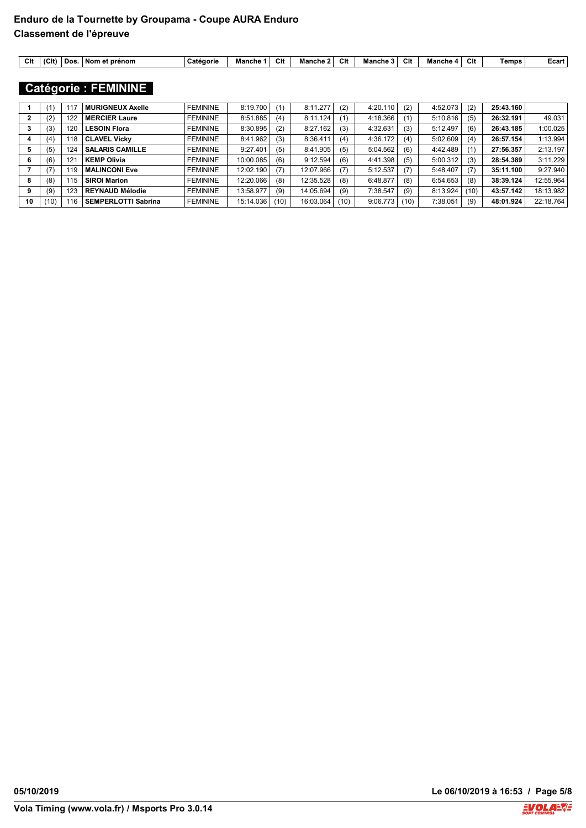| Clt<br>(C <sub>It</sub> )<br>Clt<br>-<br>Clt<br><u>тв</u><br>Dos<br><b>prénom</b><br>Manche<br>Manche 1<br>atégorie<br>Non<br>che<br>mane<br>Mancr<br>$\mathbf{r}$<br>. От<br>ᄖ<br>ັບເ<br>ud. | Temps<br>∟cart |
|-----------------------------------------------------------------------------------------------------------------------------------------------------------------------------------------------|----------------|
|-----------------------------------------------------------------------------------------------------------------------------------------------------------------------------------------------|----------------|

## **Catégorie : FEMININE**

|    | '1)  | 117 | <b>MURIGNEUX Axelle</b>    | <b>FEMININE</b> | 8:19.700  | (1)  | 8:11.277  | (2)  | 4:20.110 | (2)  | 4:52.073 | (2)  | 25:43.160 |           |
|----|------|-----|----------------------------|-----------------|-----------|------|-----------|------|----------|------|----------|------|-----------|-----------|
|    | (2)  | 122 | <b>MERCIER Laure</b>       | <b>FEMININE</b> | 8:51.885  | (4)  | 8:11.124  |      | 4:18.366 | (1)  | 5:10.816 | (5)  | 26:32.191 | 49.031    |
|    | (3)  | 120 | <b>LESOIN Flora</b>        | <b>FEMININE</b> | 8:30.895  | (2)  | 8:27.162  | (3)  | 4:32.631 | (3)  | 5:12.497 | (6)  | 26:43.185 | 1:00.025  |
| 4  | (4)  | 118 | <b>CLAVEL Vicky</b>        | <b>FEMININE</b> | 8:41.962  | (3)  | 8:36.411  | (4)  | 4:36.172 | (4)  | 5:02.609 | (4)  | 26:57.154 | 1:13.994  |
| 5  | (5)  | 124 | <b>SALARIS CAMILLE</b>     | <b>FEMININE</b> | 9:27.401  | (5)  | 8:41.905  | (5)  | 5:04.562 | (6)  | 4:42.489 |      | 27:56.357 | 2:13.197  |
| 6  | (6)  | 121 | <b>KEMP Olivia</b>         | <b>FEMININE</b> | 10:00.085 | (6)  | 9:12.594  | (6)  | 4:41.398 | (5)  | 5:00.312 | (3)  | 28:54.389 | 3:11.229  |
|    | (7)  | 119 | <b>MALINCONI Eve</b>       | <b>FEMININE</b> | 12:02.190 | (7)  | 12:07.966 | (7)  | 5:12.537 | (7)  | 5:48.407 | (7)  | 35:11.100 | 9:27.940  |
| 8  | (8)  | 115 | <b>SIROI Marion</b>        | <b>FEMININE</b> | 12:20.066 | (8)  | 12:35.528 | (8)  | 6:48.877 | (8)  | 6:54.653 | (8)  | 38:39.124 | 12:55.964 |
| 9  | (9)  | 123 | <b>REYNAUD Mélodie</b>     | <b>FEMININE</b> | 13:58.977 | (9)  | 14:05.694 | (9)  | 7:38.547 | (9)  | 8:13.924 | (10) | 43:57.142 | 18:13.982 |
| 10 | (10) | 116 | <b>SEMPERLOTTI Sabrina</b> | <b>FEMININE</b> | 15:14.036 | (10) | 16:03.064 | (10) | 9:06.773 | (10) | 7:38.051 | (9)  | 48:01.924 | 22:18.764 |

**05/10/2019 Le 06/10/2019 à 16:53 / Page 5/8**

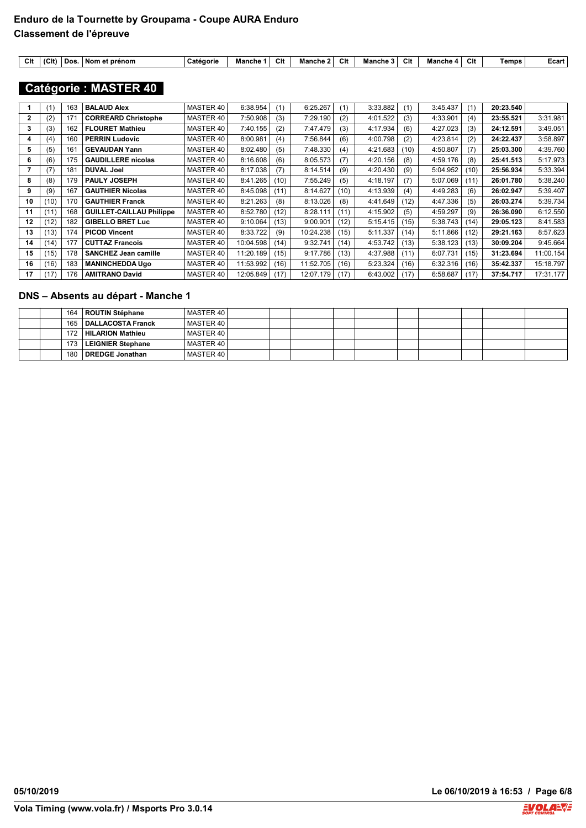| $\sim$<br>vн | (C <sup>1</sup> ) | Dos.<br>ı et prénom<br>Nom et | Catedorie | Manche | Clt | Manche | . .<br>ັບແ | Manche | $\sim$<br>uπ | mancne 4 | Clt | Temps | ∟cart |
|--------------|-------------------|-------------------------------|-----------|--------|-----|--------|------------|--------|--------------|----------|-----|-------|-------|
|              |                   |                               |           |        |     |        |            |        |              |          |     |       |       |

## **Catégorie : MASTER 40**

|    | (1)  | 163 | <b>BALAUD Alex</b>              | MASTER 40 | 6:38.954  | (1)  | 6:25.267  | (1)  | 3:33.882 | (1)  | 3:45.437 | (1)  | 20:23.540 |           |
|----|------|-----|---------------------------------|-----------|-----------|------|-----------|------|----------|------|----------|------|-----------|-----------|
| 2  | (2)  | 171 | <b>CORREARD Christophe</b>      | MASTER 40 | 7:50.908  | (3)  | 7:29.190  | (2)  | 4:01.522 | (3)  | 4:33.901 | (4)  | 23:55.521 | 3:31.981  |
| 3  | (3)  | 162 | <b>FLOURET Mathieu</b>          | MASTER 40 | 7:40.155  | (2)  | 7:47.479  | (3)  | 4:17.934 | (6)  | 4:27.023 | (3)  | 24:12.591 | 3:49.051  |
| 4  | (4)  | 160 | <b>PERRIN Ludovic</b>           | MASTER 40 | 8:00.981  | (4)  | 7:56.844  | (6)  | 4:00.798 | (2)  | 4:23.814 | (2)  | 24:22.437 | 3:58.897  |
| 5  | (5)  | 161 | <b>GEVAUDAN Yann</b>            | MASTER 40 | 8:02.480  | (5)  | 7:48.330  | (4)  | 4:21.683 | (10) | 4:50.807 | (7)  | 25:03.300 | 4:39.760  |
| 6  | (6)  | 175 | <b>GAUDILLERE</b> nicolas       | MASTER 40 | 8:16.608  | (6)  | 8:05.573  | (7)  | 4:20.156 | (8)  | 4:59.176 | (8)  | 25:41.513 | 5:17.973  |
|    | (7)  | 181 | <b>DUVAL Joel</b>               | MASTER 40 | 8:17.038  | (7)  | 8:14.514  | (9)  | 4:20.430 | (9)  | 5:04.952 | (10) | 25:56.934 | 5:33.394  |
| 8  | (8)  | 179 | <b>PAULY JOSEPH</b>             | MASTER 40 | 8:41.265  | (10) | 7:55.249  | (5)  | 4:18.197 | (7)  | 5:07.069 | (11) | 26:01.780 | 5:38.240  |
| 9  | (9)  | 167 | <b>GAUTHIER Nicolas</b>         | MASTER 40 | 8:45.098  | (11) | 8:14.627  | (10) | 4:13.939 | (4)  | 4:49.283 | (6)  | 26:02.947 | 5:39.407  |
| 10 | (10) | 170 | <b>GAUTHIER Franck</b>          | MASTER 40 | 8:21.263  | (8)  | 8:13.026  | (8)  | 4:41.649 | (12) | 4:47.336 | (5)  | 26:03.274 | 5:39.734  |
| 11 | (11) | 168 | <b>GUILLET-CAILLAU Philippe</b> | MASTER 40 | 8:52.780  | (12) | 8:28.111  | (11) | 4:15.902 | (5)  | 4:59.297 | (9)  | 26:36.090 | 6:12.550  |
| 12 | (12) | 182 | <b>GIBELLO BRET Luc</b>         | MASTER 40 | 9:10.064  | (13) | 9:00.901  | (12) | 5:15.415 | (15) | 5:38.743 | (14) | 29:05.123 | 8:41.583  |
| 13 | (13) | 174 | <b>PICOD Vincent</b>            | MASTER 40 | 8:33.722  | (9)  | 10:24.238 | (15) | 5:11.337 | (14) | 5:11.866 | (12) | 29:21.163 | 8:57.623  |
| 14 | (14) | 177 | <b>CUTTAZ Francois</b>          | MASTER 40 | 10:04.598 | (14) | 9:32.741  | (14) | 4:53.742 | (13) | 5:38.123 | (13) | 30:09.204 | 9:45.664  |
| 15 | (15) | 178 | <b>SANCHEZ Jean camille</b>     | MASTER 40 | 11:20.189 | (15) | 9:17.786  | (13) | 4:37.988 | (11) | 6:07.731 | (15) | 31:23.694 | 11:00.154 |
| 16 | (16) | 183 | <b>MANINCHEDDA Ugo</b>          | MASTER 40 | 11:53.992 | (16) | 11:52.705 | (16) | 5:23.324 | (16) | 6:32.316 | (16) | 35:42.337 | 15:18.797 |
| 17 | (17) | 176 | <b>AMITRANO David</b>           | MASTER 40 | 12:05.849 | (17) | 12:07.179 | (17) | 6:43.002 | (17) | 6:58.687 | (17) | 37:54.717 | 17:31.177 |

#### **DNS – Absents au départ - Manche 1**

|  |     | 164   ROUTIN Stéphane   | MASTER 40 |  |  |  |  |
|--|-----|-------------------------|-----------|--|--|--|--|
|  |     | 165   DALLACOSTA Franck | MASTER 40 |  |  |  |  |
|  |     | 172 HILARION Mathieu    | MASTER 40 |  |  |  |  |
|  |     | 173   LEIGNIER Stephane | MASTER 40 |  |  |  |  |
|  | 180 | DREDGE Jonathan         | MASTER 40 |  |  |  |  |

**05/10/2019 Le 06/10/2019 à 16:53 / Page 6/8**

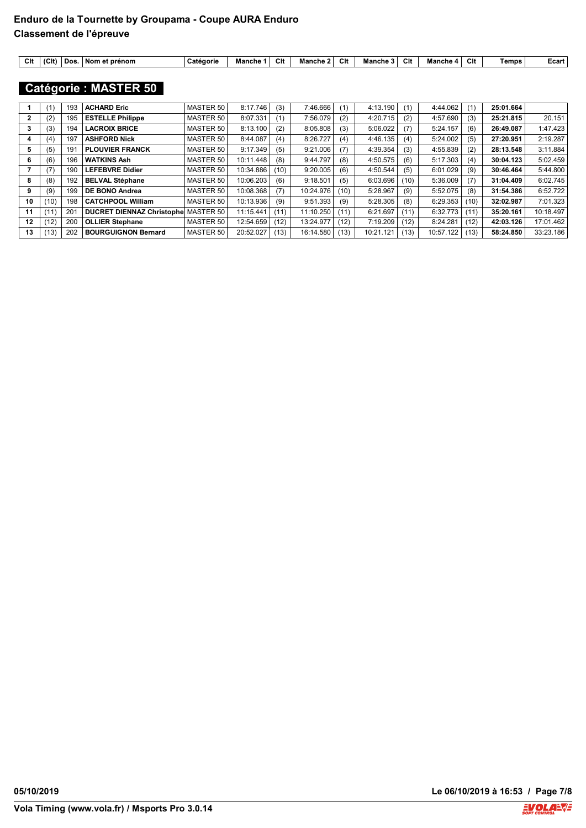|  | Clt | (C <sub>It</sub> )<br>' Dos | ` prènom<br>. Nom<br>. От | atégorie<br>va. | che<br>man | Clt | Manche | Clt | Manche | $\sim$<br>GП | Mancr<br>י ה | <u>тв</u><br>ᄖ | Temps | ∟cart |
|--|-----|-----------------------------|---------------------------|-----------------|------------|-----|--------|-----|--------|--------------|--------------|----------------|-------|-------|
|--|-----|-----------------------------|---------------------------|-----------------|------------|-----|--------|-----|--------|--------------|--------------|----------------|-------|-------|

## **Catégorie : MASTER 50**

|    | (1)  | 193 | <b>ACHARD Eric</b>               | MASTER 50 | 8:17.746  | (3)  | 7:46.666  | (1)  | 4:13.190  | (1)  | 4:44.062  |      | 25:01.664 |           |
|----|------|-----|----------------------------------|-----------|-----------|------|-----------|------|-----------|------|-----------|------|-----------|-----------|
| 2  | (2)  | 195 | <b>ESTELLE Philippe</b>          | MASTER 50 | 8:07.331  | (1)  | 7:56.079  | (2)  | 4:20.715  | (2)  | 4:57.690  | (3)  | 25:21.815 | 20.151    |
| 3  | (3)  | 194 | <b>LACROIX BRICE</b>             | MASTER 50 | 8:13.100  | (2)  | 8:05.808  | (3)  | 5:06.022  | (7)  | 5:24.157  | (6)  | 26:49.087 | 1:47.423  |
| 4  | (4)  | 197 | <b>ASHFORD Nick</b>              | MASTER 50 | 8:44.087  | (4)  | 8:26.727  | (4)  | 4:46.135  | (4)  | 5:24.002  | (5)  | 27:20.951 | 2:19.287  |
| 5  | (5)  | 191 | <b>PLOUVIER FRANCK</b>           | MASTER 50 | 9:17.349  | (5)  | 9:21.006  | (7)  | 4:39.354  | (3)  | 4:55.839  | (2)  | 28:13.548 | 3:11.884  |
| 6  | (6)  | 196 | <b>WATKINS Ash</b>               | MASTER 50 | 10:11.448 | (8)  | 9:44.797  | (8)  | 4:50.575  | (6)  | 5:17.303  | (4)  | 30:04.123 | 5:02.459  |
|    | (7)  | 190 | <b>LEFEBVRE Didier</b>           | MASTER 50 | 10:34.886 | (10) | 9:20.005  | (6)  | 4:50.544  | (5)  | 6:01.029  | (9)  | 30:46.464 | 5:44.800  |
| 8  | (8)  | 192 | <b>BELVAL Stéphane</b>           | MASTER 50 | 10:06.203 | (6)  | 9:18.501  | (5)  | 6:03.696  | (10) | 5:36.009  | (7)  | 31:04.409 | 6:02.745  |
| 9  | (9)  | 199 | DE BONO Andrea                   | MASTER 50 | 10:08.368 | (7)  | 10:24.976 | (10) | 5:28.967  | (9)  | 5:52.075  | (8)  | 31:54.386 | 6:52.722  |
| 10 | (10) | 198 | <b>CATCHPOOL William</b>         | MASTER 50 | 10:13.936 | (9)  | 9:51.393  | (9)  | 5:28.305  | (8)  | 6:29.353  | (10) | 32:02.987 | 7:01.323  |
| 11 | (11) | 201 | <b>DUCRET DIENNAZ Christophe</b> | MASTER 50 | 11:15.441 | (11) | 11:10.250 | (11) | 6:21.697  | (11) | 6:32.773  | (11) | 35:20.161 | 10:18.497 |
| 12 | (12) | 200 | <b>OLLIER Stephane</b>           | MASTER 50 | 12:54.659 | (12) | 13:24.977 | (12) | 7:19.209  | (12) | 8:24.281  | (12) | 42:03.126 | 17:01.462 |
| 13 | (13) | 202 | <b>BOURGUIGNON Bernard</b>       | MASTER 50 | 20:52.027 | (13) | 16:14.580 | (13) | 10:21.121 | (13) | 10:57.122 | (13) | 58:24.850 | 33:23.186 |

**05/10/2019 Le 06/10/2019 à 16:53 / Page 7/8**